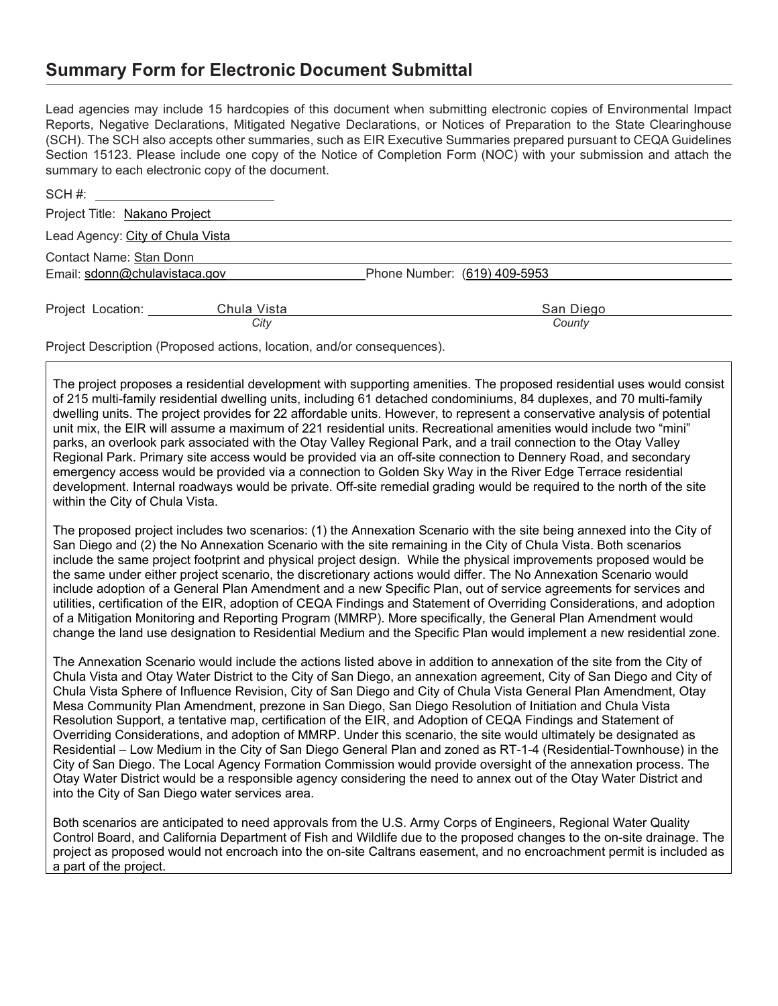## **Summary Form for Electronic Document Submittal**

Lead agencies may include 15 hardcopies of this document when submitting electronic copies of Environmental Impact Reports, Negative Declarations, Mitigated Negative Declarations, or Notices of Preparation to the State Clearinghouse (SCH). The SCH also accepts other summaries, such as EIR Executive Summaries prepared pursuant to CEQA Guidelines Section 15123. Please include one copy of the Notice of Completion Form (NOC) with your submission and attach the summary to each electronic copy of the document.

| SCH #: ______________________________ |                                                                                                                                          |                              |
|---------------------------------------|------------------------------------------------------------------------------------------------------------------------------------------|------------------------------|
| Project Title: Nakano Project         |                                                                                                                                          |                              |
| Lead Agency: City of Chula Vista      |                                                                                                                                          |                              |
| Contact Name: Stan Donn               |                                                                                                                                          |                              |
| Email: sdonn@chulavistaca.gov         |                                                                                                                                          | Phone Number: (619) 409-5953 |
| Project Location:                     | Chula Vista                                                                                                                              | San Diego                    |
|                                       | City                                                                                                                                     | County                       |
|                                       | $\mathsf{D}$ and a $\mathsf{D}$ are a set of $\mathsf{D}$ are a set of a set of a set of a set of $\mathsf{D}$ are a set of $\mathsf{D}$ |                              |

Project Description (Proposed actions, location, and/or consequences).

The project proposes a residential development with supporting amenities. The proposed residential uses would consist of 215 multi-family residential dwelling units, including 61 detached condominiums, 84 duplexes, and 70 multi-family dwelling units. The project provides for 22 affordable units. However, to represent a conservative analysis of potential unit mix, the EIR will assume a maximum of 221 residential units. Recreational amenities would include two "mini" parks, an overlook park associated with the Otay Valley Regional Park, and a trail connection to the Otay Valley Regional Park. Primary site access would be provided via an off-site connection to Dennery Road, and secondary emergency access would be provided via a connection to Golden Sky Way in the River Edge Terrace residential development. Internal roadways would be private. Off-site remedial grading would be required to the north of the site within the City of Chula Vista.

The proposed project includes two scenarios: (1) the Annexation Scenario with the site being annexed into the City of San Diego and (2) the No Annexation Scenario with the site remaining in the City of Chula Vista. Both scenarios include the same project footprint and physical project design. While the physical improvements proposed would be the same under either project scenario, the discretionary actions would differ. The No Annexation Scenario would include adoption of a General Plan Amendment and a new Specific Plan, out of service agreements for services and utilities, certification of the EIR, adoption of CEQA Findings and Statement of Overriding Considerations, and adoption of a Mitigation Monitoring and Reporting Program (MMRP). More specifically, the General Plan Amendment would change the land use designation to Residential Medium and the Specific Plan would implement a new residential zone.

The Annexation Scenario would include the actions listed above in addition to annexation of the site from the City of Chula Vista and Otay Water District to the City of San Diego, an annexation agreement, City of San Diego and City of Chula Vista Sphere of Influence Revision, City of San Diego and City of Chula Vista General Plan Amendment, Otay Mesa Community Plan Amendment, prezone in San Diego, San Diego Resolution of Initiation and Chula Vista Resolution Support, a tentative map, certification of the EIR, and Adoption of CEQA Findings and Statement of Overriding Considerations, and adoption of MMRP. Under this scenario, the site would ultimately be designated as Residential – Low Medium in the City of San Diego General Plan and zoned as RT-1-4 (Residential-Townhouse) in the City of San Diego. The Local Agency Formation Commission would provide oversight of the annexation process. The Otay Water District would be a responsible agency considering the need to annex out of the Otay Water District and into the City of San Diego water services area.

Both scenarios are anticipated to need approvals from the U.S. Army Corps of Engineers, Regional Water Quality Control Board, and California Department of Fish and Wildlife due to the proposed changes to the on-site drainage. The project as proposed would not encroach into the on-site Caltrans easement, and no encroachment permit is included as a part of the project.